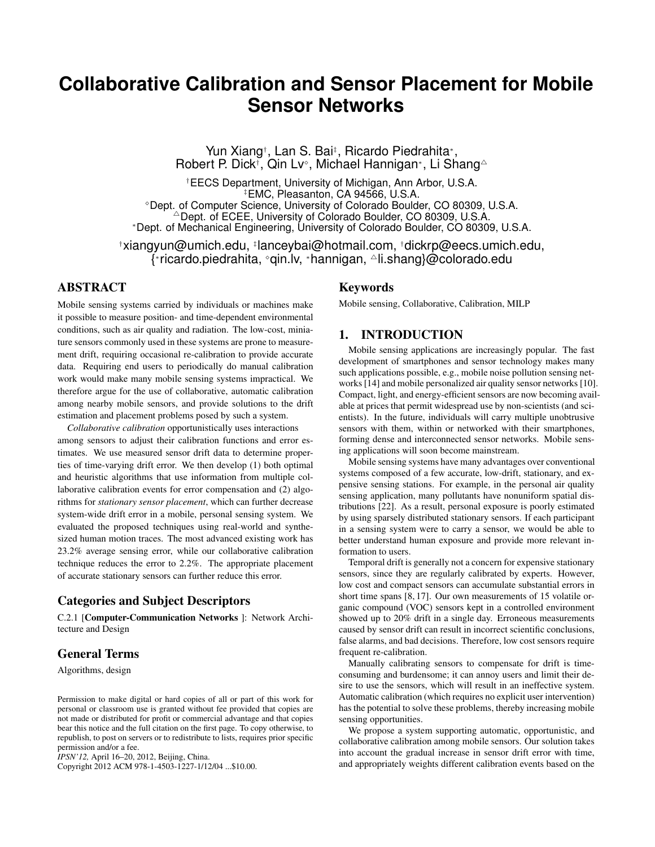# **Collaborative Calibration and Sensor Placement for Mobile Sensor Networks**

Yun Xiang<sup>†</sup>, Lan S. Bai<sup>‡</sup>, Ricardo Piedrahita<sup>∗</sup>, Robert P. Dick†, Qin Lv<sup>®</sup>, Michael Hannigan<sup>∗</sup>, Li Shang<sup>∆</sup>

†EECS Department, University of Michigan, Ann Arbor, U.S.A. ‡EMC, Pleasanton, CA 94566, U.S.A. <sup>⋄</sup>Dept. of Computer Science, University of Colorado Boulder, CO 80309, U.S.A.  $^\vartriangle$ Dept. of ECEE, University of Colorado Boulder, CO 80309, U.S.A. <sup>∗</sup>Dept. of Mechanical Engineering, University of Colorado Boulder, CO 80309, U.S.A.

†xiangyun@umich.edu, ‡ lanceybai@hotmail.com, †dickrp@eecs.umich.edu, { ∗ ricardo.piedrahita, <sup>⋄</sup>qin.lv, <sup>∗</sup>hannigan, △li.shang}@colorado.edu

# ABSTRACT

Mobile sensing systems carried by individuals or machines make it possible to measure position- and time-dependent environmental conditions, such as air quality and radiation. The low-cost, miniature sensors commonly used in these systems are prone to measurement drift, requiring occasional re-calibration to provide accurate data. Requiring end users to periodically do manual calibration work would make many mobile sensing systems impractical. We therefore argue for the use of collaborative, automatic calibration among nearby mobile sensors, and provide solutions to the drift estimation and placement problems posed by such a system.

*Collaborative calibration* opportunistically uses interactions among sensors to adjust their calibration functions and error estimates. We use measured sensor drift data to determine properties of time-varying drift error. We then develop (1) both optimal and heuristic algorithms that use information from multiple collaborative calibration events for error compensation and (2) algorithms for *stationary sensor placement*, which can further decrease system-wide drift error in a mobile, personal sensing system. We evaluated the proposed techniques using real-world and synthesized human motion traces. The most advanced existing work has 23.2% average sensing error, while our collaborative calibration technique reduces the error to 2.2%. The appropriate placement of accurate stationary sensors can further reduce this error.

#### Categories and Subject Descriptors

C.2.1 [Computer-Communication Networks ]: Network Architecture and Design

#### General Terms

Algorithms, design

Permission to make digital or hard copies of all or part of this work for personal or classroom use is granted without fee provided that copies are not made or distributed for profit or commercial advantage and that copies bear this notice and the full citation on the first page. To copy otherwise, to republish, to post on servers or to redistribute to lists, requires prior specific permission and/or a fee.

*IPSN'12,* April 16–20, 2012, Beijing, China.

Copyright 2012 ACM 978-1-4503-1227-1/12/04 ...\$10.00.

# Keywords

Mobile sensing, Collaborative, Calibration, MILP

# 1. INTRODUCTION

Mobile sensing applications are increasingly popular. The fast development of smartphones and sensor technology makes many such applications possible, e.g., mobile noise pollution sensing networks [14] and mobile personalized air quality sensor networks [10]. Compact, light, and energy-efficient sensors are now becoming available at prices that permit widespread use by non-scientists (and scientists). In the future, individuals will carry multiple unobtrusive sensors with them, within or networked with their smartphones, forming dense and interconnected sensor networks. Mobile sensing applications will soon become mainstream.

Mobile sensing systems have many advantages over conventional systems composed of a few accurate, low-drift, stationary, and expensive sensing stations. For example, in the personal air quality sensing application, many pollutants have nonuniform spatial distributions [22]. As a result, personal exposure is poorly estimated by using sparsely distributed stationary sensors. If each participant in a sensing system were to carry a sensor, we would be able to better understand human exposure and provide more relevant information to users.

Temporal drift is generally not a concern for expensive stationary sensors, since they are regularly calibrated by experts. However, low cost and compact sensors can accumulate substantial errors in short time spans [8, 17]. Our own measurements of 15 volatile organic compound (VOC) sensors kept in a controlled environment showed up to 20% drift in a single day. Erroneous measurements caused by sensor drift can result in incorrect scientific conclusions, false alarms, and bad decisions. Therefore, low cost sensors require frequent re-calibration.

Manually calibrating sensors to compensate for drift is timeconsuming and burdensome; it can annoy users and limit their desire to use the sensors, which will result in an ineffective system. Automatic calibration (which requires no explicit user intervention) has the potential to solve these problems, thereby increasing mobile sensing opportunities.

We propose a system supporting automatic, opportunistic, and collaborative calibration among mobile sensors. Our solution takes into account the gradual increase in sensor drift error with time, and appropriately weights different calibration events based on the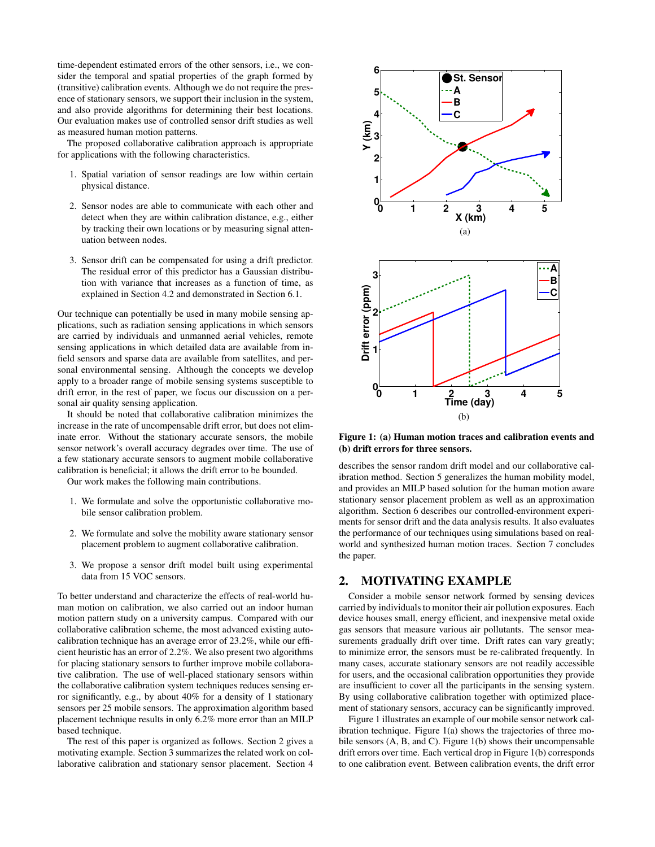time-dependent estimated errors of the other sensors, i.e., we consider the temporal and spatial properties of the graph formed by (transitive) calibration events. Although we do not require the presence of stationary sensors, we support their inclusion in the system, and also provide algorithms for determining their best locations. Our evaluation makes use of controlled sensor drift studies as well as measured human motion patterns.

The proposed collaborative calibration approach is appropriate for applications with the following characteristics.

- 1. Spatial variation of sensor readings are low within certain physical distance.
- 2. Sensor nodes are able to communicate with each other and detect when they are within calibration distance, e.g., either by tracking their own locations or by measuring signal attenuation between nodes.
- 3. Sensor drift can be compensated for using a drift predictor. The residual error of this predictor has a Gaussian distribution with variance that increases as a function of time, as explained in Section 4.2 and demonstrated in Section 6.1.

Our technique can potentially be used in many mobile sensing applications, such as radiation sensing applications in which sensors are carried by individuals and unmanned aerial vehicles, remote sensing applications in which detailed data are available from infield sensors and sparse data are available from satellites, and personal environmental sensing. Although the concepts we develop apply to a broader range of mobile sensing systems susceptible to drift error, in the rest of paper, we focus our discussion on a personal air quality sensing application.

It should be noted that collaborative calibration minimizes the increase in the rate of uncompensable drift error, but does not eliminate error. Without the stationary accurate sensors, the mobile sensor network's overall accuracy degrades over time. The use of a few stationary accurate sensors to augment mobile collaborative calibration is beneficial; it allows the drift error to be bounded.

Our work makes the following main contributions.

- 1. We formulate and solve the opportunistic collaborative mobile sensor calibration problem.
- 2. We formulate and solve the mobility aware stationary sensor placement problem to augment collaborative calibration.
- 3. We propose a sensor drift model built using experimental data from 15 VOC sensors.

To better understand and characterize the effects of real-world human motion on calibration, we also carried out an indoor human motion pattern study on a university campus. Compared with our collaborative calibration scheme, the most advanced existing autocalibration technique has an average error of 23.2%, while our efficient heuristic has an error of 2.2%. We also present two algorithms for placing stationary sensors to further improve mobile collaborative calibration. The use of well-placed stationary sensors within the collaborative calibration system techniques reduces sensing error significantly, e.g., by about 40% for a density of 1 stationary sensors per 25 mobile sensors. The approximation algorithm based placement technique results in only 6.2% more error than an MILP based technique.

The rest of this paper is organized as follows. Section 2 gives a motivating example. Section 3 summarizes the related work on collaborative calibration and stationary sensor placement. Section 4



Figure 1: (a) Human motion traces and calibration events and (b) drift errors for three sensors.

describes the sensor random drift model and our collaborative calibration method. Section 5 generalizes the human mobility model, and provides an MILP based solution for the human motion aware stationary sensor placement problem as well as an approximation algorithm. Section 6 describes our controlled-environment experiments for sensor drift and the data analysis results. It also evaluates the performance of our techniques using simulations based on realworld and synthesized human motion traces. Section 7 concludes the paper.

# 2. MOTIVATING EXAMPLE

Consider a mobile sensor network formed by sensing devices carried by individuals to monitor their air pollution exposures. Each device houses small, energy efficient, and inexpensive metal oxide gas sensors that measure various air pollutants. The sensor measurements gradually drift over time. Drift rates can vary greatly; to minimize error, the sensors must be re-calibrated frequently. In many cases, accurate stationary sensors are not readily accessible for users, and the occasional calibration opportunities they provide are insufficient to cover all the participants in the sensing system. By using collaborative calibration together with optimized placement of stationary sensors, accuracy can be significantly improved.

Figure 1 illustrates an example of our mobile sensor network calibration technique. Figure 1(a) shows the trajectories of three mobile sensors (A, B, and C). Figure 1(b) shows their uncompensable drift errors over time. Each vertical drop in Figure 1(b) corresponds to one calibration event. Between calibration events, the drift error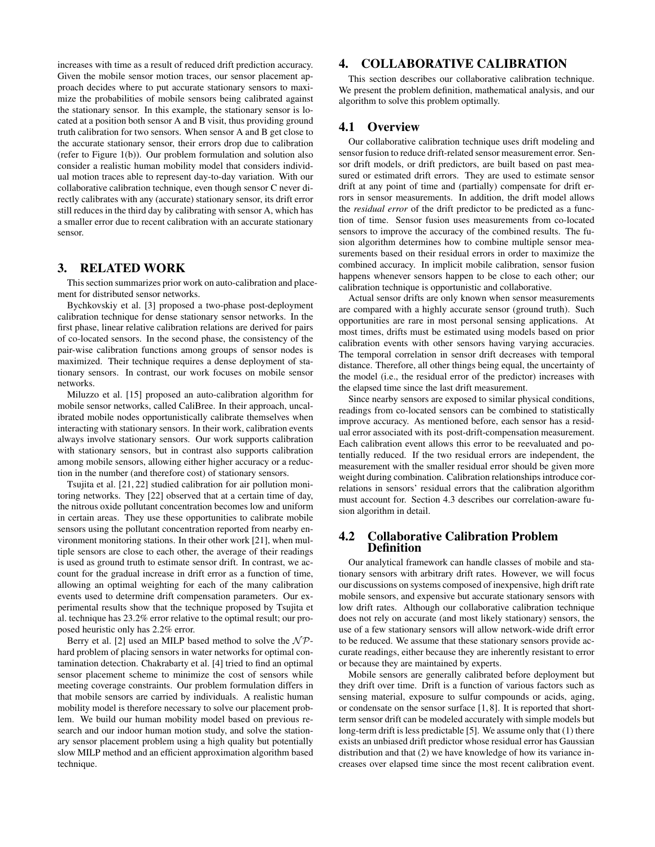increases with time as a result of reduced drift prediction accuracy. Given the mobile sensor motion traces, our sensor placement approach decides where to put accurate stationary sensors to maximize the probabilities of mobile sensors being calibrated against the stationary sensor. In this example, the stationary sensor is located at a position both sensor A and B visit, thus providing ground truth calibration for two sensors. When sensor A and B get close to the accurate stationary sensor, their errors drop due to calibration (refer to Figure 1(b)). Our problem formulation and solution also consider a realistic human mobility model that considers individual motion traces able to represent day-to-day variation. With our collaborative calibration technique, even though sensor C never directly calibrates with any (accurate) stationary sensor, its drift error still reduces in the third day by calibrating with sensor A, which has a smaller error due to recent calibration with an accurate stationary sensor.

## 3. RELATED WORK

This section summarizes prior work on auto-calibration and placement for distributed sensor networks.

Bychkovskiy et al. [3] proposed a two-phase post-deployment calibration technique for dense stationary sensor networks. In the first phase, linear relative calibration relations are derived for pairs of co-located sensors. In the second phase, the consistency of the pair-wise calibration functions among groups of sensor nodes is maximized. Their technique requires a dense deployment of stationary sensors. In contrast, our work focuses on mobile sensor networks.

Miluzzo et al. [15] proposed an auto-calibration algorithm for mobile sensor networks, called CaliBree. In their approach, uncalibrated mobile nodes opportunistically calibrate themselves when interacting with stationary sensors. In their work, calibration events always involve stationary sensors. Our work supports calibration with stationary sensors, but in contrast also supports calibration among mobile sensors, allowing either higher accuracy or a reduction in the number (and therefore cost) of stationary sensors.

Tsujita et al. [21, 22] studied calibration for air pollution monitoring networks. They [22] observed that at a certain time of day, the nitrous oxide pollutant concentration becomes low and uniform in certain areas. They use these opportunities to calibrate mobile sensors using the pollutant concentration reported from nearby environment monitoring stations. In their other work [21], when multiple sensors are close to each other, the average of their readings is used as ground truth to estimate sensor drift. In contrast, we account for the gradual increase in drift error as a function of time, allowing an optimal weighting for each of the many calibration events used to determine drift compensation parameters. Our experimental results show that the technique proposed by Tsujita et al. technique has 23.2% error relative to the optimal result; our proposed heuristic only has 2.2% error.

Berry et al. [2] used an MILP based method to solve the  $N\mathcal{P}$ hard problem of placing sensors in water networks for optimal contamination detection. Chakrabarty et al. [4] tried to find an optimal sensor placement scheme to minimize the cost of sensors while meeting coverage constraints. Our problem formulation differs in that mobile sensors are carried by individuals. A realistic human mobility model is therefore necessary to solve our placement problem. We build our human mobility model based on previous research and our indoor human motion study, and solve the stationary sensor placement problem using a high quality but potentially slow MILP method and an efficient approximation algorithm based technique.

# 4. COLLABORATIVE CALIBRATION

This section describes our collaborative calibration technique. We present the problem definition, mathematical analysis, and our algorithm to solve this problem optimally.

# 4.1 Overview

Our collaborative calibration technique uses drift modeling and sensor fusion to reduce drift-related sensor measurement error. Sensor drift models, or drift predictors, are built based on past measured or estimated drift errors. They are used to estimate sensor drift at any point of time and (partially) compensate for drift errors in sensor measurements. In addition, the drift model allows the *residual error* of the drift predictor to be predicted as a function of time. Sensor fusion uses measurements from co-located sensors to improve the accuracy of the combined results. The fusion algorithm determines how to combine multiple sensor measurements based on their residual errors in order to maximize the combined accuracy. In implicit mobile calibration, sensor fusion happens whenever sensors happen to be close to each other; our calibration technique is opportunistic and collaborative.

Actual sensor drifts are only known when sensor measurements are compared with a highly accurate sensor (ground truth). Such opportunities are rare in most personal sensing applications. At most times, drifts must be estimated using models based on prior calibration events with other sensors having varying accuracies. The temporal correlation in sensor drift decreases with temporal distance. Therefore, all other things being equal, the uncertainty of the model (i.e., the residual error of the predictor) increases with the elapsed time since the last drift measurement.

Since nearby sensors are exposed to similar physical conditions, readings from co-located sensors can be combined to statistically improve accuracy. As mentioned before, each sensor has a residual error associated with its post-drift-compensation measurement. Each calibration event allows this error to be reevaluated and potentially reduced. If the two residual errors are independent, the measurement with the smaller residual error should be given more weight during combination. Calibration relationships introduce correlations in sensors' residual errors that the calibration algorithm must account for. Section 4.3 describes our correlation-aware fusion algorithm in detail.

# 4.2 Collaborative Calibration Problem Definition

Our analytical framework can handle classes of mobile and stationary sensors with arbitrary drift rates. However, we will focus our discussions on systems composed of inexpensive, high drift rate mobile sensors, and expensive but accurate stationary sensors with low drift rates. Although our collaborative calibration technique does not rely on accurate (and most likely stationary) sensors, the use of a few stationary sensors will allow network-wide drift error to be reduced. We assume that these stationary sensors provide accurate readings, either because they are inherently resistant to error or because they are maintained by experts.

Mobile sensors are generally calibrated before deployment but they drift over time. Drift is a function of various factors such as sensing material, exposure to sulfur compounds or acids, aging, or condensate on the sensor surface [1, 8]. It is reported that shortterm sensor drift can be modeled accurately with simple models but long-term drift is less predictable [5]. We assume only that (1) there exists an unbiased drift predictor whose residual error has Gaussian distribution and that (2) we have knowledge of how its variance increases over elapsed time since the most recent calibration event.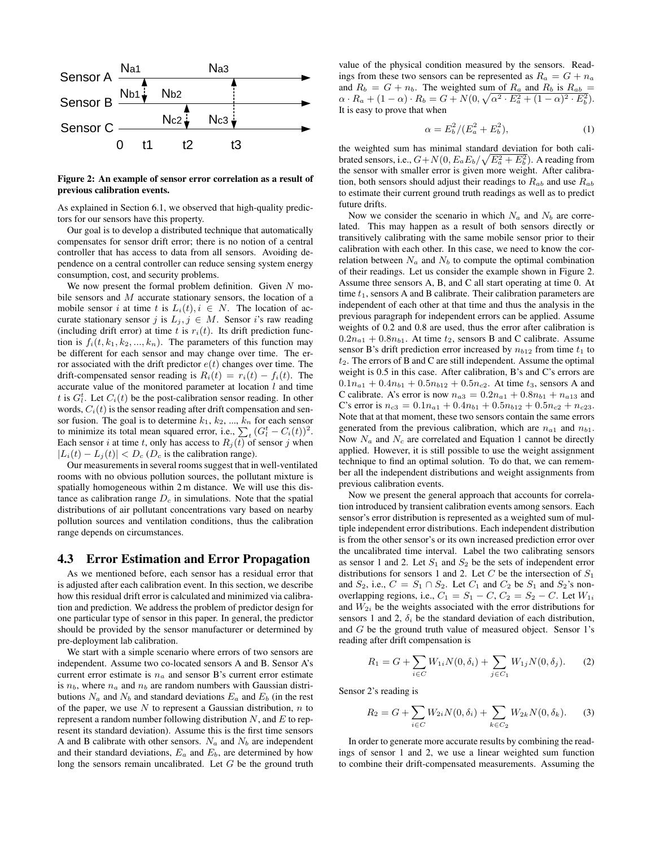

Figure 2: An example of sensor error correlation as a result of previous calibration events.

As explained in Section 6.1, we observed that high-quality predictors for our sensors have this property.

Our goal is to develop a distributed technique that automatically compensates for sensor drift error; there is no notion of a central controller that has access to data from all sensors. Avoiding dependence on a central controller can reduce sensing system energy consumption, cost, and security problems.

We now present the formal problem definition. Given  $N$  mobile sensors and M accurate stationary sensors, the location of a mobile sensor i at time t is  $L_i(t)$ ,  $i \in N$ . The location of accurate stationary sensor j is  $L_j, j \in M$ . Sensor i's raw reading (including drift error) at time t is  $r_i(t)$ . Its drift prediction function is  $f_i(t, k_1, k_2, ..., k_n)$ . The parameters of this function may be different for each sensor and may change over time. The error associated with the drift predictor  $e(t)$  changes over time. The drift-compensated sensor reading is  $R_i(t) = r_i(t) - f_i(t)$ . The accurate value of the monitored parameter at location  $l$  and time t is  $G_l^t$ . Let  $C_i(t)$  be the post-calibration sensor reading. In other words,  $C_i(t)$  is the sensor reading after drift compensation and sensor fusion. The goal is to determine  $k_1, k_2, ..., k_n$  for each sensor to minimize its total mean squared error, i.e.,  $\sum_{t} (G_t^t - C_i(t))^2$ . Each sensor i at time t, only has access to  $R_i(t)$  of sensor j when  $|L_i(t) - L_i(t)| < D_c$  ( $D_c$  is the calibration range).

Our measurements in several rooms suggest that in well-ventilated rooms with no obvious pollution sources, the pollutant mixture is spatially homogeneous within 2 m distance. We will use this distance as calibration range  $D<sub>c</sub>$  in simulations. Note that the spatial distributions of air pollutant concentrations vary based on nearby pollution sources and ventilation conditions, thus the calibration range depends on circumstances.

#### 4.3 Error Estimation and Error Propagation

As we mentioned before, each sensor has a residual error that is adjusted after each calibration event. In this section, we describe how this residual drift error is calculated and minimized via calibration and prediction. We address the problem of predictor design for one particular type of sensor in this paper. In general, the predictor should be provided by the sensor manufacturer or determined by pre-deployment lab calibration.

We start with a simple scenario where errors of two sensors are independent. Assume two co-located sensors A and B. Sensor A's current error estimate is  $n_a$  and sensor B's current error estimate is  $n_b$ , where  $n_a$  and  $n_b$  are random numbers with Gaussian distributions  $N_a$  and  $N_b$  and standard deviations  $E_a$  and  $E_b$  (in the rest of the paper, we use  $N$  to represent a Gaussian distribution,  $n$  to represent a random number following distribution  $N$ , and  $E$  to represent its standard deviation). Assume this is the first time sensors A and B calibrate with other sensors.  $N_a$  and  $N_b$  are independent and their standard deviations,  $E_a$  and  $E_b$ , are determined by how long the sensors remain uncalibrated. Let  $G$  be the ground truth

value of the physical condition measured by the sensors. Readings from these two sensors can be represented as  $R_a = G + n_a$ and  $R_b = G + n_b$ . The weighted sum of  $R_a$  and  $R_b$  is  $R_{ab}$  =  $\alpha \cdot R_a + (1 - \alpha) \cdot R_b = G + N(0, \sqrt{\alpha^2 \cdot E_a^2 + (1 - \alpha)^2 \cdot E_b^2}).$ It is easy to prove that when

$$
\alpha = E_b^2 / (E_a^2 + E_b^2),\tag{1}
$$

the weighted sum has minimal standard deviation for both calibrated sensors, i.e.,  $G + N(0, E_a E_b / \sqrt{E_a^2 + E_b^2})$ . A reading from the sensor with smaller error is given more weight. After calibration, both sensors should adjust their readings to  $R_{ab}$  and use  $R_{ab}$ to estimate their current ground truth readings as well as to predict future drifts.

Now we consider the scenario in which  $N_a$  and  $N_b$  are correlated. This may happen as a result of both sensors directly or transitively calibrating with the same mobile sensor prior to their calibration with each other. In this case, we need to know the correlation between  $N_a$  and  $N_b$  to compute the optimal combination of their readings. Let us consider the example shown in Figure 2. Assume three sensors A, B, and C all start operating at time 0. At time  $t_1$ , sensors A and B calibrate. Their calibration parameters are independent of each other at that time and thus the analysis in the previous paragraph for independent errors can be applied. Assume weights of 0.2 and 0.8 are used, thus the error after calibration is  $0.2n_{a1} + 0.8n_{b1}$ . At time  $t_2$ , sensors B and C calibrate. Assume sensor B's drift prediction error increased by  $n_{b12}$  from time  $t_1$  to  $t_2$ . The errors of B and C are still independent. Assume the optimal weight is 0.5 in this case. After calibration, B's and C's errors are  $0.1n_{a1} + 0.4n_{b1} + 0.5n_{b12} + 0.5n_{c2}$ . At time  $t_3$ , sensors A and C calibrate. A's error is now  $n_{a3} = 0.2n_{a1} + 0.8n_{b1} + n_{a13}$  and C's error is  $n_{c3} = 0.1n_{a1} + 0.4n_{b1} + 0.5n_{b12} + 0.5n_{c2} + n_{c23}$ . Note that at that moment, these two sensors contain the same errors generated from the previous calibration, which are  $n_{a1}$  and  $n_{b1}$ . Now  $N_a$  and  $N_c$  are correlated and Equation 1 cannot be directly applied. However, it is still possible to use the weight assignment technique to find an optimal solution. To do that, we can remember all the independent distributions and weight assignments from previous calibration events.

Now we present the general approach that accounts for correlation introduced by transient calibration events among sensors. Each sensor's error distribution is represented as a weighted sum of multiple independent error distributions. Each independent distribution is from the other sensor's or its own increased prediction error over the uncalibrated time interval. Label the two calibrating sensors as sensor 1 and 2. Let  $S_1$  and  $S_2$  be the sets of independent error distributions for sensors 1 and 2. Let C be the intersection of  $S_1$ and  $S_2$ , i.e.,  $C = S_1 \cap S_2$ . Let  $C_1$  and  $C_2$  be  $S_1$  and  $S_2$ 's nonoverlapping regions, i.e.,  $C_1 = S_1 - C$ ,  $C_2 = S_2 - C$ . Let  $W_{1i}$ and  $W_{2i}$  be the weights associated with the error distributions for sensors 1 and 2,  $\delta_i$  be the standard deviation of each distribution, and G be the ground truth value of measured object. Sensor 1's reading after drift compensation is

$$
R_1 = G + \sum_{i \in C} W_{1i} N(0, \delta_i) + \sum_{j \in C_1} W_{1j} N(0, \delta_j).
$$
 (2)

Sensor 2's reading is

$$
R_2 = G + \sum_{i \in C} W_{2i} N(0, \delta_i) + \sum_{k \in C_2} W_{2k} N(0, \delta_k).
$$
 (3)

In order to generate more accurate results by combining the readings of sensor 1 and 2, we use a linear weighted sum function to combine their drift-compensated measurements. Assuming the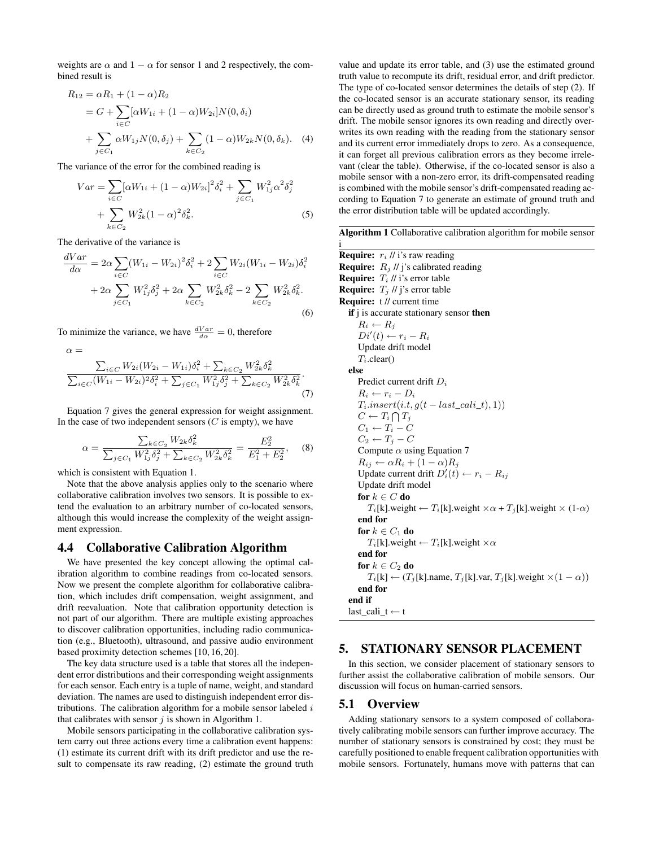weights are  $\alpha$  and  $1 - \alpha$  for sensor 1 and 2 respectively, the combined result is

$$
R_{12} = \alpha R_1 + (1 - \alpha) R_2
$$
  
=  $G + \sum_{i \in C} [\alpha W_{1i} + (1 - \alpha) W_{2i}] N(0, \delta_i)$   
+  $\sum_{j \in C_1} \alpha W_{1j} N(0, \delta_j) + \sum_{k \in C_2} (1 - \alpha) W_{2k} N(0, \delta_k)$ . (4)

The variance of the error for the combined reading is

$$
Var = \sum_{i \in C} [\alpha W_{1i} + (1 - \alpha) W_{2i}]^{2} \delta_{i}^{2} + \sum_{j \in C_{1}} W_{1j}^{2} \alpha^{2} \delta_{j}^{2} + \sum_{k \in C_{2}} W_{2k}^{2} (1 - \alpha)^{2} \delta_{k}^{2}.
$$
 (5)

The derivative of the variance is

 $\alpha =$ 

$$
\frac{dVar}{d\alpha} = 2\alpha \sum_{i \in C} (W_{1i} - W_{2i})^2 \delta_i^2 + 2 \sum_{i \in C} W_{2i} (W_{1i} - W_{2i}) \delta_i^2 + 2\alpha \sum_{j \in C_1} W_{1j}^2 \delta_j^2 + 2\alpha \sum_{k \in C_2} W_{2k}^2 \delta_k^2 - 2 \sum_{k \in C_2} W_{2k}^2 \delta_k^2.
$$
\n(6)

To minimize the variance, we have  $\frac{dVar}{d\alpha} = 0$ , therefore

$$
\frac{\sum_{i \in C} W_{2i} (W_{2i} - W_{1i}) \delta_i^2 + \sum_{k \in C_2} W_{2k}^2 \delta_k^2}{\sum_{i \in C} (W_{1i} - W_{2i})^2 \delta_i^2 + \sum_{j \in C_1} W_{1j}^2 \delta_j^2 + \sum_{k \in C_2} W_{2k}^2 \delta_k^2}.
$$
\n(7)

Equation 7 gives the general expression for weight assignment. In the case of two independent sensors  $(C$  is empty), we have

$$
\alpha = \frac{\sum_{k \in C_2} W_{2k} \delta_k^2}{\sum_{j \in C_1} W_{1j}^2 \delta_j^2 + \sum_{k \in C_2} W_{2k}^2 \delta_k^2} = \frac{E_2^2}{E_1^2 + E_2^2},
$$
 (8)

which is consistent with Equation 1.

Note that the above analysis applies only to the scenario where collaborative calibration involves two sensors. It is possible to extend the evaluation to an arbitrary number of co-located sensors, although this would increase the complexity of the weight assignment expression.

#### 4.4 Collaborative Calibration Algorithm

We have presented the key concept allowing the optimal calibration algorithm to combine readings from co-located sensors. Now we present the complete algorithm for collaborative calibration, which includes drift compensation, weight assignment, and drift reevaluation. Note that calibration opportunity detection is not part of our algorithm. There are multiple existing approaches to discover calibration opportunities, including radio communication (e.g., Bluetooth), ultrasound, and passive audio environment based proximity detection schemes [10, 16, 20].

The key data structure used is a table that stores all the independent error distributions and their corresponding weight assignments for each sensor. Each entry is a tuple of name, weight, and standard deviation. The names are used to distinguish independent error distributions. The calibration algorithm for a mobile sensor labeled  $i$ that calibrates with sensor  $j$  is shown in Algorithm 1.

Mobile sensors participating in the collaborative calibration system carry out three actions every time a calibration event happens: (1) estimate its current drift with its drift predictor and use the result to compensate its raw reading, (2) estimate the ground truth value and update its error table, and (3) use the estimated ground truth value to recompute its drift, residual error, and drift predictor. The type of co-located sensor determines the details of step (2). If the co-located sensor is an accurate stationary sensor, its reading can be directly used as ground truth to estimate the mobile sensor's drift. The mobile sensor ignores its own reading and directly overwrites its own reading with the reading from the stationary sensor and its current error immediately drops to zero. As a consequence, it can forget all previous calibration errors as they become irrelevant (clear the table). Otherwise, if the co-located sensor is also a mobile sensor with a non-zero error, its drift-compensated reading is combined with the mobile sensor's drift-compensated reading according to Equation 7 to generate an estimate of ground truth and the error distribution table will be updated accordingly.

Algorithm 1 Collaborative calibration algorithm for mobile sensor

i

**Require:**  $r_i$  // i's raw reading **Require:**  $R_i$  // j's calibrated reading **Require:**  $T_i$  // i's error table **Require:**  $T_i$  // j's error table Require: t // current time if j is accurate stationary sensor then  $R_i \leftarrow R_j$  $Di'(t) \leftarrow r_i - R_i$ Update drift model  $T_i$ .clear() else Predict current drift  $D_i$  $R_i \leftarrow r_i - D_i$  $T_i.insert(i.t, g(t - last\_cali\_t), 1))$  $C \leftarrow T_i \bigcap T_j$  $C_1 \leftarrow T_i - C$  $C_2 \leftarrow T_j - C$ Compute  $\alpha$  using Equation 7  $R_{ij} \leftarrow \alpha R_i + (1 - \alpha)R_j$ Update current drift  $D_i'(t) \leftarrow r_i - R_{ij}$ Update drift model for  $k \in C$  do  $T_i[k]$ .weight  $\leftarrow T_i[k]$ .weight  $\times \alpha + T_j[k]$ .weight  $\times (1-\alpha)$ end for for  $k \in C_1$  do  $T_i[k]$ .weight  $\leftarrow T_i[k]$ .weight  $\times \alpha$ end for for  $k \in C_2$  do  $T_i[k] \leftarrow (T_j[k].name, T_j[k].var, T_j[k].weight \times (1 - \alpha))$ end for end if last\_cali\_t  $\leftarrow$  t

## 5. STATIONARY SENSOR PLACEMENT

In this section, we consider placement of stationary sensors to further assist the collaborative calibration of mobile sensors. Our discussion will focus on human-carried sensors.

#### 5.1 Overview

Adding stationary sensors to a system composed of collaboratively calibrating mobile sensors can further improve accuracy. The number of stationary sensors is constrained by cost; they must be carefully positioned to enable frequent calibration opportunities with mobile sensors. Fortunately, humans move with patterns that can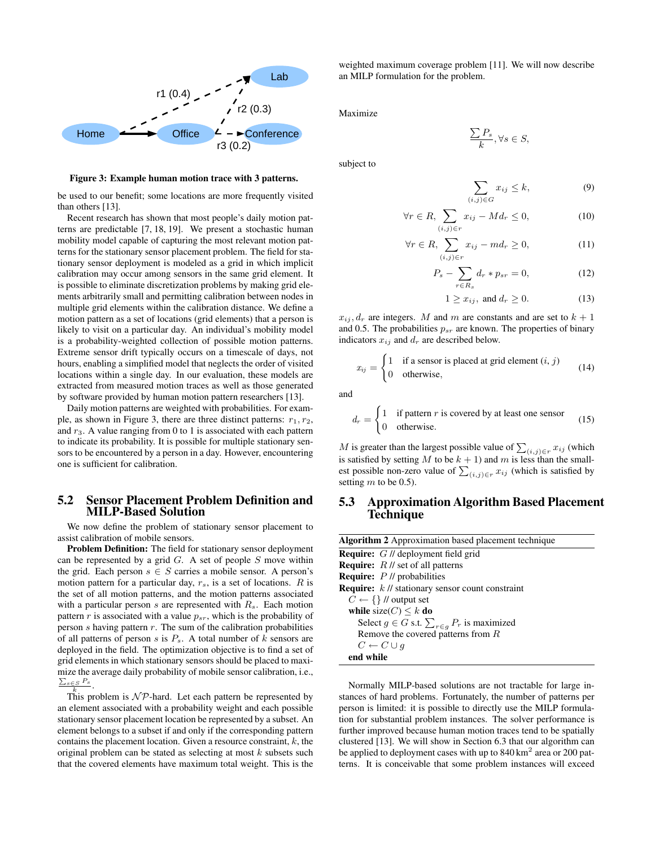

Figure 3: Example human motion trace with 3 patterns.

be used to our benefit; some locations are more frequently visited than others [13].

Recent research has shown that most people's daily motion patterns are predictable [7, 18, 19]. We present a stochastic human mobility model capable of capturing the most relevant motion patterns for the stationary sensor placement problem. The field for stationary sensor deployment is modeled as a grid in which implicit calibration may occur among sensors in the same grid element. It is possible to eliminate discretization problems by making grid elements arbitrarily small and permitting calibration between nodes in multiple grid elements within the calibration distance. We define a motion pattern as a set of locations (grid elements) that a person is likely to visit on a particular day. An individual's mobility model is a probability-weighted collection of possible motion patterns. Extreme sensor drift typically occurs on a timescale of days, not hours, enabling a simplified model that neglects the order of visited locations within a single day. In our evaluation, these models are extracted from measured motion traces as well as those generated by software provided by human motion pattern researchers [13].

Daily motion patterns are weighted with probabilities. For example, as shown in Figure 3, there are three distinct patterns:  $r_1, r_2$ , and  $r_3$ . A value ranging from 0 to 1 is associated with each pattern to indicate its probability. It is possible for multiple stationary sensors to be encountered by a person in a day. However, encountering one is sufficient for calibration.

# 5.2 Sensor Placement Problem Definition and MILP-Based Solution

We now define the problem of stationary sensor placement to assist calibration of mobile sensors.

Problem Definition: The field for stationary sensor deployment can be represented by a grid  $G$ . A set of people  $S$  move within the grid. Each person  $s \in S$  carries a mobile sensor. A person's motion pattern for a particular day,  $r_s$ , is a set of locations.  $R$  is the set of all motion patterns, and the motion patterns associated with a particular person  $s$  are represented with  $R_s$ . Each motion pattern  $r$  is associated with a value  $p_{sr}$ , which is the probability of person  $s$  having pattern  $r$ . The sum of the calibration probabilities of all patterns of person s is  $P_s$ . A total number of k sensors are deployed in the field. The optimization objective is to find a set of grid elements in which stationary sensors should be placed to maximize the average daily probability of mobile sensor calibration, i.e.,  $\frac{\sum_{s\in S} P_s}{k}$ .

This problem is  $N \mathcal{P}$ -hard. Let each pattern be represented by an element associated with a probability weight and each possible stationary sensor placement location be represented by a subset. An element belongs to a subset if and only if the corresponding pattern contains the placement location. Given a resource constraint,  $k$ , the original problem can be stated as selecting at most  $k$  subsets such that the covered elements have maximum total weight. This is the

weighted maximum coverage problem [11]. We will now describe an MILP formulation for the problem.

 $\sum P_s$ 

Maximize

subject to

$$
\sum_{(i,j)\in G} x_{ij} \le k,\tag{9}
$$

$$
\forall r \in R, \sum_{(i,j) \in r} x_{ij} - Md_r \le 0,\tag{10}
$$

 $\frac{f^{1} s}{k}, \forall s \in S,$ 

$$
\forall r \in R, \sum_{(i,j) \in r} x_{ij} - m d_r \ge 0,\tag{11}
$$

$$
P_s - \sum_{r \in R_s} d_r * p_{sr} = 0,
$$
 (12)

$$
1 \ge x_{ij}, \text{ and } d_r \ge 0. \tag{13}
$$

 $x_{ij}$ ,  $d_r$  are integers. M and m are constants and are set to  $k + 1$ and 0.5. The probabilities  $p_{sr}$  are known. The properties of binary indicators  $x_{ij}$  and  $d_r$  are described below.

$$
x_{ij} = \begin{cases} 1 & \text{if a sensor is placed at grid element } (i, j) \\ 0 & \text{otherwise,} \end{cases}
$$
 (14)

and

$$
d_r = \begin{cases} 1 & \text{if pattern } r \text{ is covered by at least one sensor} \\ 0 & \text{otherwise.} \end{cases} \tag{15}
$$

M is greater than the largest possible value of  $\sum_{(i,j)\in r} x_{ij}$  (which is satisfied by setting  $M$  to be  $k + 1$ ) and  $m$  is less than the smallest possible non-zero value of  $\sum_{(i,j)\in r} x_{ij}$  (which is satisfied by setting  $m$  to be 0.5).

## 5.3 Approximation Algorithm Based Placement Technique

| <b>Algorithm 2</b> Approximation based placement technique |
|------------------------------------------------------------|
| <b>Require:</b> $G$ // deployment field grid               |
| <b>Require:</b> $R$ // set of all patterns                 |
| <b>Require:</b> $P$ // probabilities                       |
| <b>Require:</b> $k$ // stationary sensor count constraint  |
| $C \leftarrow \{\}$ // output set                          |
| while size( $C$ ) $\leq k$ do                              |
| Select $g \in G$ s.t. $\sum_{r \in q} P_r$ is maximized    |
| Remove the covered patterns from $R$                       |
| $C \leftarrow C \cup q$                                    |
| end while                                                  |

Normally MILP-based solutions are not tractable for large instances of hard problems. Fortunately, the number of patterns per person is limited: it is possible to directly use the MILP formulation for substantial problem instances. The solver performance is further improved because human motion traces tend to be spatially clustered [13]. We will show in Section 6.3 that our algorithm can be applied to deployment cases with up to  $840 \mathrm{km}^2$  area or 200 patterns. It is conceivable that some problem instances will exceed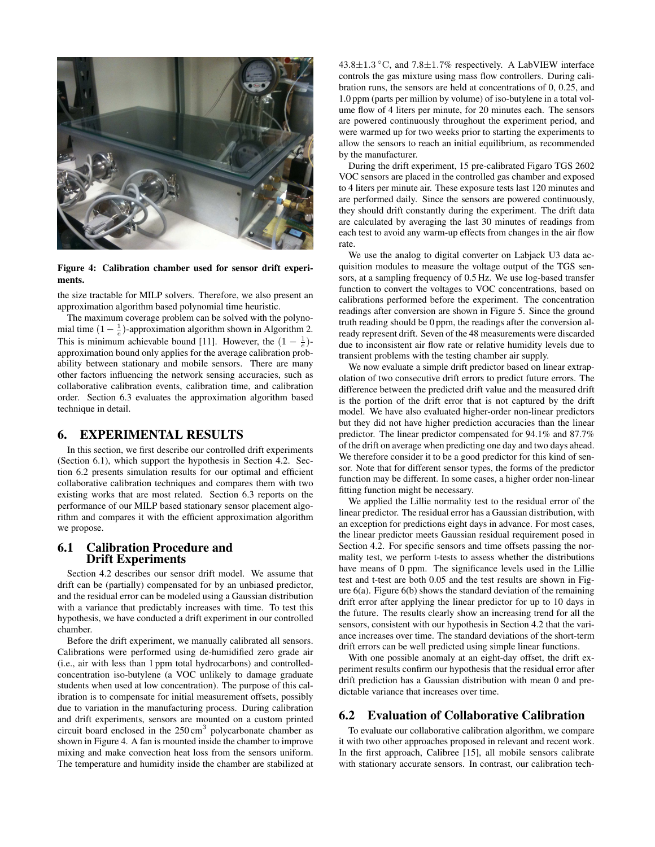

Figure 4: Calibration chamber used for sensor drift experiments.

the size tractable for MILP solvers. Therefore, we also present an approximation algorithm based polynomial time heuristic.

The maximum coverage problem can be solved with the polynomial time  $(1 - \frac{1}{e})$ -approximation algorithm shown in Algorithm 2. This is minimum achievable bound [11]. However, the  $(1 - \frac{1}{e})$ approximation bound only applies for the average calibration probability between stationary and mobile sensors. There are many other factors influencing the network sensing accuracies, such as collaborative calibration events, calibration time, and calibration order. Section 6.3 evaluates the approximation algorithm based technique in detail.

# 6. EXPERIMENTAL RESULTS

In this section, we first describe our controlled drift experiments (Section 6.1), which support the hypothesis in Section 4.2. Section 6.2 presents simulation results for our optimal and efficient collaborative calibration techniques and compares them with two existing works that are most related. Section 6.3 reports on the performance of our MILP based stationary sensor placement algorithm and compares it with the efficient approximation algorithm we propose.

# 6.1 Calibration Procedure and Drift Experiments

Section 4.2 describes our sensor drift model. We assume that drift can be (partially) compensated for by an unbiased predictor, and the residual error can be modeled using a Gaussian distribution with a variance that predictably increases with time. To test this hypothesis, we have conducted a drift experiment in our controlled chamber.

Before the drift experiment, we manually calibrated all sensors. Calibrations were performed using de-humidified zero grade air (i.e., air with less than 1 ppm total hydrocarbons) and controlledconcentration iso-butylene (a VOC unlikely to damage graduate students when used at low concentration). The purpose of this calibration is to compensate for initial measurement offsets, possibly due to variation in the manufacturing process. During calibration and drift experiments, sensors are mounted on a custom printed circuit board enclosed in the  $250 \text{ cm}^3$  polycarbonate chamber as shown in Figure 4. A fan is mounted inside the chamber to improve mixing and make convection heat loss from the sensors uniform. The temperature and humidity inside the chamber are stabilized at

43.8±1.3 ◦C, and 7.8±1.7% respectively. A LabVIEW interface controls the gas mixture using mass flow controllers. During calibration runs, the sensors are held at concentrations of 0, 0.25, and 1.0 ppm (parts per million by volume) of iso-butylene in a total volume flow of 4 liters per minute, for 20 minutes each. The sensors are powered continuously throughout the experiment period, and were warmed up for two weeks prior to starting the experiments to allow the sensors to reach an initial equilibrium, as recommended by the manufacturer.

During the drift experiment, 15 pre-calibrated Figaro TGS 2602 VOC sensors are placed in the controlled gas chamber and exposed to 4 liters per minute air. These exposure tests last 120 minutes and are performed daily. Since the sensors are powered continuously, they should drift constantly during the experiment. The drift data are calculated by averaging the last 30 minutes of readings from each test to avoid any warm-up effects from changes in the air flow rate.

We use the analog to digital converter on Labjack U3 data acquisition modules to measure the voltage output of the TGS sensors, at a sampling frequency of 0.5 Hz. We use log-based transfer function to convert the voltages to VOC concentrations, based on calibrations performed before the experiment. The concentration readings after conversion are shown in Figure 5. Since the ground truth reading should be 0 ppm, the readings after the conversion already represent drift. Seven of the 48 measurements were discarded due to inconsistent air flow rate or relative humidity levels due to transient problems with the testing chamber air supply.

We now evaluate a simple drift predictor based on linear extrapolation of two consecutive drift errors to predict future errors. The difference between the predicted drift value and the measured drift is the portion of the drift error that is not captured by the drift model. We have also evaluated higher-order non-linear predictors but they did not have higher prediction accuracies than the linear predictor. The linear predictor compensated for 94.1% and 87.7% of the drift on average when predicting one day and two days ahead. We therefore consider it to be a good predictor for this kind of sensor. Note that for different sensor types, the forms of the predictor function may be different. In some cases, a higher order non-linear fitting function might be necessary.

We applied the Lillie normality test to the residual error of the linear predictor. The residual error has a Gaussian distribution, with an exception for predictions eight days in advance. For most cases, the linear predictor meets Gaussian residual requirement posed in Section 4.2. For specific sensors and time offsets passing the normality test, we perform t-tests to assess whether the distributions have means of 0 ppm. The significance levels used in the Lillie test and t-test are both 0.05 and the test results are shown in Figure  $6(a)$ . Figure  $6(b)$  shows the standard deviation of the remaining drift error after applying the linear predictor for up to 10 days in the future. The results clearly show an increasing trend for all the sensors, consistent with our hypothesis in Section 4.2 that the variance increases over time. The standard deviations of the short-term drift errors can be well predicted using simple linear functions.

With one possible anomaly at an eight-day offset, the drift experiment results confirm our hypothesis that the residual error after drift prediction has a Gaussian distribution with mean 0 and predictable variance that increases over time.

# 6.2 Evaluation of Collaborative Calibration

To evaluate our collaborative calibration algorithm, we compare it with two other approaches proposed in relevant and recent work. In the first approach, Calibree [15], all mobile sensors calibrate with stationary accurate sensors. In contrast, our calibration tech-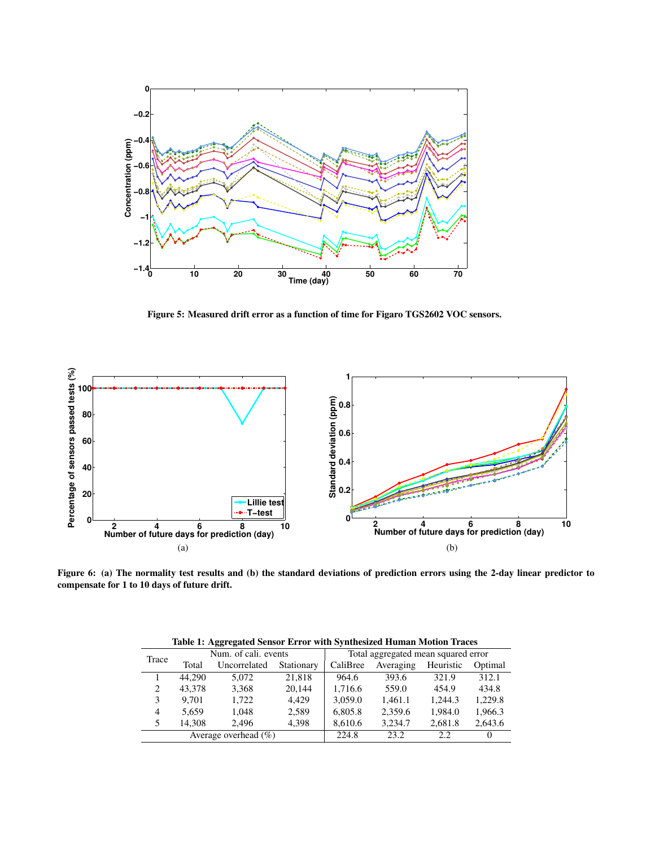

Figure 5: Measured drift error as a function of time for Figaro TGS2602 VOC sensors.



Figure 6: (a) The normality test results and (b) the standard deviations of prediction errors using the 2-day linear predictor to compensate for 1 to 10 days of future drift.

| 88 8°                    |                      |              |            |                                     |           |           |          |
|--------------------------|----------------------|--------------|------------|-------------------------------------|-----------|-----------|----------|
| Trace                    | Num. of cali. events |              |            | Total aggregated mean squared error |           |           |          |
|                          | Total                | Uncorrelated | Stationary | CaliBree                            | Averaging | Heuristic | Optimal  |
|                          | 44.290               | 5.072        | 21,818     | 964.6                               | 393.6     | 321.9     | 312.1    |
| 2                        | 43,378               | 3,368        | 20,144     | 1,716.6                             | 559.0     | 454.9     | 434.8    |
| 3                        | 9.701                | 1.722        | 4.429      | 3,059.0                             | 1.461.1   | 1.244.3   | 1,229.8  |
| 4                        | 5.659                | 1.048        | 2.589      | 6,805.8                             | 2,359.6   | 1.984.0   | 1,966.3  |
| 5.                       | 14.308               | 2.496        | 4.398      | 8,610.6                             | 3.234.7   | 2,681.8   | 2,643.6  |
| Average overhead $(\% )$ |                      |              |            | 224.8                               | 23.2      | 2.2       | $\Omega$ |

Table 1: Aggregated Sensor Error with Synthesized Human Motion Traces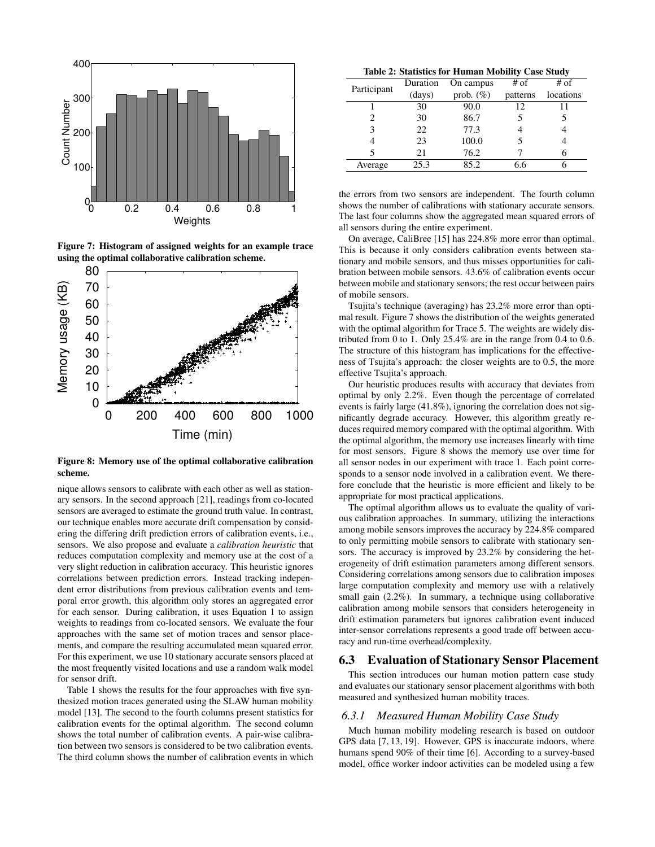

Figure 7: Histogram of assigned weights for an example trace using the optimal collaborative calibration scheme.



Figure 8: Memory use of the optimal collaborative calibration scheme.

nique allows sensors to calibrate with each other as well as stationary sensors. In the second approach [21], readings from co-located sensors are averaged to estimate the ground truth value. In contrast, our technique enables more accurate drift compensation by considering the differing drift prediction errors of calibration events, i.e., sensors. We also propose and evaluate a *calibration heuristic* that reduces computation complexity and memory use at the cost of a very slight reduction in calibration accuracy. This heuristic ignores correlations between prediction errors. Instead tracking independent error distributions from previous calibration events and temporal error growth, this algorithm only stores an aggregated error for each sensor. During calibration, it uses Equation 1 to assign weights to readings from co-located sensors. We evaluate the four approaches with the same set of motion traces and sensor placements, and compare the resulting accumulated mean squared error. For this experiment, we use 10 stationary accurate sensors placed at the most frequently visited locations and use a random walk model for sensor drift.

Table 1 shows the results for the four approaches with five synthesized motion traces generated using the SLAW human mobility model [13]. The second to the fourth columns present statistics for calibration events for the optimal algorithm. The second column shows the total number of calibration events. A pair-wise calibration between two sensors is considered to be two calibration events. The third column shows the number of calibration events in which

Table 2: Statistics for Human Mobility Case Study

| $10000$ $\rightarrow$ $000000$ $\rightarrow$ $000000$ $\rightarrow$ $00000$ $\rightarrow$ $0000$ |          |              |          |           |  |  |
|--------------------------------------------------------------------------------------------------|----------|--------------|----------|-----------|--|--|
| Participant                                                                                      | Duration | On campus    | $#$ of   | $#$ of    |  |  |
|                                                                                                  | (days)   | prob. $(\%)$ | patterns | locations |  |  |
|                                                                                                  | 30       | 90.0         | 12       |           |  |  |
| 2                                                                                                | 30       | 86.7         |          |           |  |  |
| 3                                                                                                | 22       | 77.3         |          |           |  |  |
|                                                                                                  | 23       | 100.0        |          |           |  |  |
|                                                                                                  | 21       | 76.2         |          |           |  |  |
| Average                                                                                          | 25.3     | 85.2         | 6.6      |           |  |  |

the errors from two sensors are independent. The fourth column shows the number of calibrations with stationary accurate sensors. The last four columns show the aggregated mean squared errors of all sensors during the entire experiment.

On average, CaliBree [15] has 224.8% more error than optimal. This is because it only considers calibration events between stationary and mobile sensors, and thus misses opportunities for calibration between mobile sensors. 43.6% of calibration events occur between mobile and stationary sensors; the rest occur between pairs of mobile sensors.

Tsujita's technique (averaging) has 23.2% more error than optimal result. Figure 7 shows the distribution of the weights generated with the optimal algorithm for Trace 5. The weights are widely distributed from 0 to 1. Only 25.4% are in the range from 0.4 to 0.6. The structure of this histogram has implications for the effectiveness of Tsujita's approach: the closer weights are to 0.5, the more effective Tsujita's approach.

Our heuristic produces results with accuracy that deviates from optimal by only 2.2%. Even though the percentage of correlated events is fairly large (41.8%), ignoring the correlation does not significantly degrade accuracy. However, this algorithm greatly reduces required memory compared with the optimal algorithm. With the optimal algorithm, the memory use increases linearly with time for most sensors. Figure 8 shows the memory use over time for all sensor nodes in our experiment with trace 1. Each point corresponds to a sensor node involved in a calibration event. We therefore conclude that the heuristic is more efficient and likely to be appropriate for most practical applications.

The optimal algorithm allows us to evaluate the quality of various calibration approaches. In summary, utilizing the interactions among mobile sensors improves the accuracy by 224.8% compared to only permitting mobile sensors to calibrate with stationary sensors. The accuracy is improved by 23.2% by considering the heterogeneity of drift estimation parameters among different sensors. Considering correlations among sensors due to calibration imposes large computation complexity and memory use with a relatively small gain (2.2%). In summary, a technique using collaborative calibration among mobile sensors that considers heterogeneity in drift estimation parameters but ignores calibration event induced inter-sensor correlations represents a good trade off between accuracy and run-time overhead/complexity.

### 6.3 Evaluation of Stationary Sensor Placement

This section introduces our human motion pattern case study and evaluates our stationary sensor placement algorithms with both measured and synthesized human mobility traces.

#### *6.3.1 Measured Human Mobility Case Study*

Much human mobility modeling research is based on outdoor GPS data [7, 13, 19]. However, GPS is inaccurate indoors, where humans spend 90% of their time [6]. According to a survey-based model, office worker indoor activities can be modeled using a few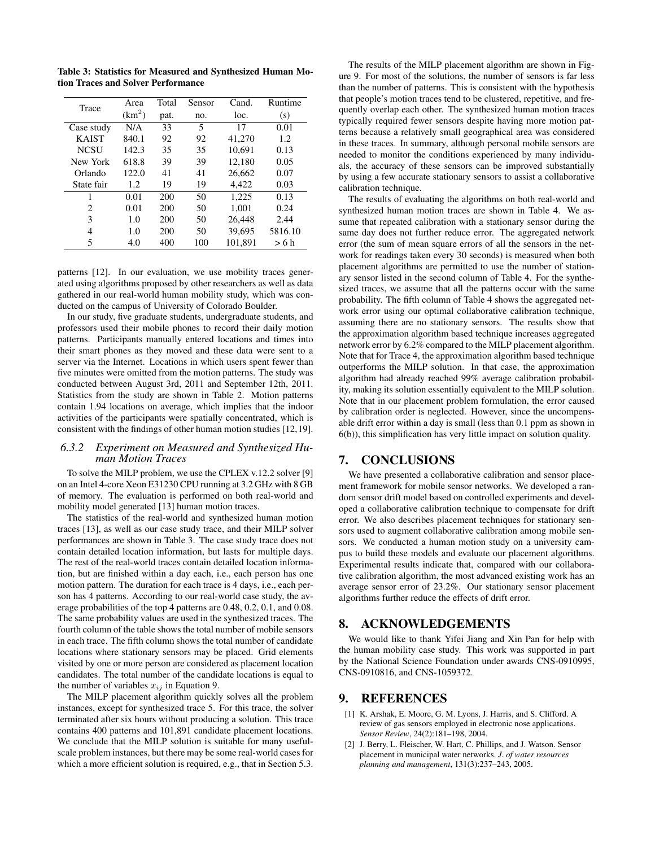Trace Area Total Sensor Cand. Runtime  $(km^2)$ ) pat. no. loc. (s) Case study  $N/A$  33 5 17 0.01 KAIST 840.1 92 92 41,270 1.2 NCSU 142.3 35 35 10,691 0.13 New York 618.8 39 39 12,180 0.05<br>Orlando 122.0 41 41 26.662 0.07 Orlando 122.0 41 41 26,662 0.07 State fair 1.2 19 19 4.422 0.03 1 0.01 200 50 1,225 0.13 2 0.01 200 50 1,001 0.24 3 1.0 200 50 26,448 2.44 4 1.0 200 50 39,695 5816.10 5 4.0 400 100 101,891 > 6 h

Table 3: Statistics for Measured and Synthesized Human Motion Traces and Solver Performance

patterns [12]. In our evaluation, we use mobility traces generated using algorithms proposed by other researchers as well as data gathered in our real-world human mobility study, which was conducted on the campus of University of Colorado Boulder.

In our study, five graduate students, undergraduate students, and professors used their mobile phones to record their daily motion patterns. Participants manually entered locations and times into their smart phones as they moved and these data were sent to a server via the Internet. Locations in which users spent fewer than five minutes were omitted from the motion patterns. The study was conducted between August 3rd, 2011 and September 12th, 2011. Statistics from the study are shown in Table 2. Motion patterns contain 1.94 locations on average, which implies that the indoor activities of the participants were spatially concentrated, which is consistent with the findings of other human motion studies [12,19].

#### *6.3.2 Experiment on Measured and Synthesized Human Motion Traces*

To solve the MILP problem, we use the CPLEX v.12.2 solver [9] on an Intel 4-core Xeon E31230 CPU running at 3.2 GHz with 8 GB of memory. The evaluation is performed on both real-world and mobility model generated [13] human motion traces.

The statistics of the real-world and synthesized human motion traces [13], as well as our case study trace, and their MILP solver performances are shown in Table 3. The case study trace does not contain detailed location information, but lasts for multiple days. The rest of the real-world traces contain detailed location information, but are finished within a day each, i.e., each person has one motion pattern. The duration for each trace is 4 days, i.e., each person has 4 patterns. According to our real-world case study, the average probabilities of the top 4 patterns are 0.48, 0.2, 0.1, and 0.08. The same probability values are used in the synthesized traces. The fourth column of the table shows the total number of mobile sensors in each trace. The fifth column shows the total number of candidate locations where stationary sensors may be placed. Grid elements visited by one or more person are considered as placement location candidates. The total number of the candidate locations is equal to the number of variables  $x_{ij}$  in Equation 9.

The MILP placement algorithm quickly solves all the problem instances, except for synthesized trace 5. For this trace, the solver terminated after six hours without producing a solution. This trace contains 400 patterns and 101,891 candidate placement locations. We conclude that the MILP solution is suitable for many usefulscale problem instances, but there may be some real-world cases for which a more efficient solution is required, e.g., that in Section 5.3.

The results of the MILP placement algorithm are shown in Figure 9. For most of the solutions, the number of sensors is far less than the number of patterns. This is consistent with the hypothesis that people's motion traces tend to be clustered, repetitive, and frequently overlap each other. The synthesized human motion traces typically required fewer sensors despite having more motion patterns because a relatively small geographical area was considered in these traces. In summary, although personal mobile sensors are needed to monitor the conditions experienced by many individuals, the accuracy of these sensors can be improved substantially by using a few accurate stationary sensors to assist a collaborative calibration technique.

The results of evaluating the algorithms on both real-world and synthesized human motion traces are shown in Table 4. We assume that repeated calibration with a stationary sensor during the same day does not further reduce error. The aggregated network error (the sum of mean square errors of all the sensors in the network for readings taken every 30 seconds) is measured when both placement algorithms are permitted to use the number of stationary sensor listed in the second column of Table 4. For the synthesized traces, we assume that all the patterns occur with the same probability. The fifth column of Table 4 shows the aggregated network error using our optimal collaborative calibration technique, assuming there are no stationary sensors. The results show that the approximation algorithm based technique increases aggregated network error by 6.2% compared to the MILP placement algorithm. Note that for Trace 4, the approximation algorithm based technique outperforms the MILP solution. In that case, the approximation algorithm had already reached 99% average calibration probability, making its solution essentially equivalent to the MILP solution. Note that in our placement problem formulation, the error caused by calibration order is neglected. However, since the uncompensable drift error within a day is small (less than 0.1 ppm as shown in 6(b)), this simplification has very little impact on solution quality.

# 7. CONCLUSIONS

We have presented a collaborative calibration and sensor placement framework for mobile sensor networks. We developed a random sensor drift model based on controlled experiments and developed a collaborative calibration technique to compensate for drift error. We also describes placement techniques for stationary sensors used to augment collaborative calibration among mobile sensors. We conducted a human motion study on a university campus to build these models and evaluate our placement algorithms. Experimental results indicate that, compared with our collaborative calibration algorithm, the most advanced existing work has an average sensor error of 23.2%. Our stationary sensor placement algorithms further reduce the effects of drift error.

# 8. ACKNOWLEDGEMENTS

We would like to thank Yifei Jiang and Xin Pan for help with the human mobility case study. This work was supported in part by the National Science Foundation under awards CNS-0910995, CNS-0910816, and CNS-1059372.

### 9. REFERENCES

- [1] K. Arshak, E. Moore, G. M. Lyons, J. Harris, and S. Clifford. A review of gas sensors employed in electronic nose applications. *Sensor Review*, 24(2):181–198, 2004.
- [2] J. Berry, L. Fleischer, W. Hart, C. Phillips, and J. Watson. Sensor placement in municipal water networks. *J. of water resources planning and management*, 131(3):237–243, 2005.